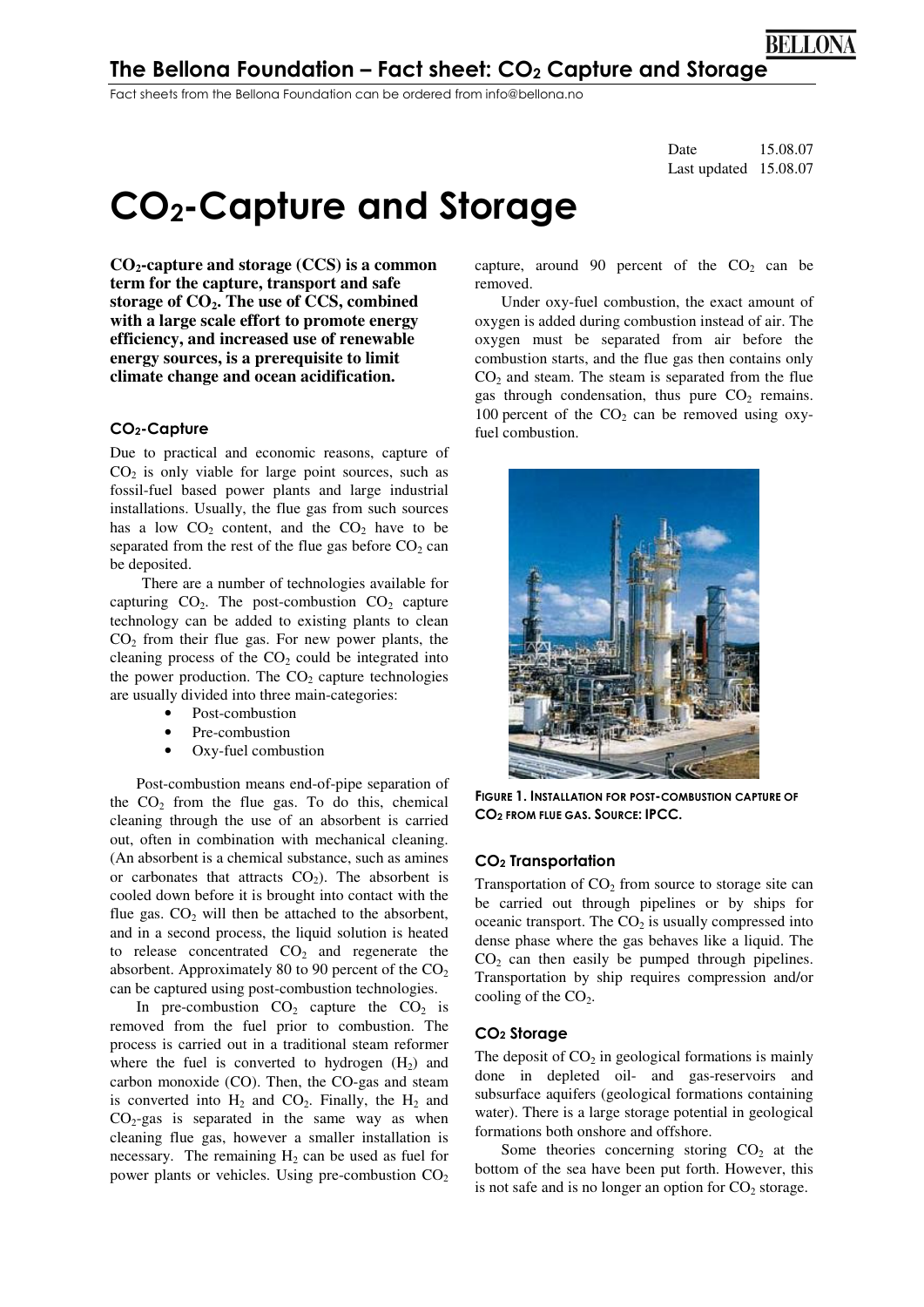## The Bellona Foundation – Fact sheet:  $CO<sub>2</sub>$  Capture and Storage

Fact sheets from the Bellona Foundation can be ordered from info@bellona.no

Date 15.08.07 Last updated 15.08.07

# CO2-Capture and Storage

**CO2-capture and storage (CCS) is a common term for the capture, transport and safe storage of CO2. The use of CCS, combined with a large scale effort to promote energy efficiency, and increased use of renewable energy sources, is a prerequisite to limit climate change and ocean acidification.** 

#### CO2-Capture

Due to practical and economic reasons, capture of  $CO<sub>2</sub>$  is only viable for large point sources, such as fossil-fuel based power plants and large industrial installations. Usually, the flue gas from such sources has a low  $CO<sub>2</sub>$  content, and the  $CO<sub>2</sub>$  have to be separated from the rest of the flue gas before  $CO<sub>2</sub>$  can be deposited.

 There are a number of technologies available for capturing  $CO<sub>2</sub>$ . The post-combustion  $CO<sub>2</sub>$  capture technology can be added to existing plants to clean  $CO<sub>2</sub>$  from their flue gas. For new power plants, the cleaning process of the  $CO<sub>2</sub>$  could be integrated into the power production. The  $CO<sub>2</sub>$  capture technologies are usually divided into three main-categories:

- Post-combustion
- Pre-combustion
- Oxy-fuel combustion

Post-combustion means end-of-pipe separation of the  $CO<sub>2</sub>$  from the flue gas. To do this, chemical cleaning through the use of an absorbent is carried out, often in combination with mechanical cleaning. (An absorbent is a chemical substance, such as amines or carbonates that attracts  $CO<sub>2</sub>$ ). The absorbent is cooled down before it is brought into contact with the flue gas.  $CO<sub>2</sub>$  will then be attached to the absorbent, and in a second process, the liquid solution is heated to release concentrated  $CO<sub>2</sub>$  and regenerate the absorbent. Approximately 80 to 90 percent of the  $CO<sub>2</sub>$ can be captured using post-combustion technologies.

In pre-combustion  $CO_2$  capture the  $CO_2$  is removed from the fuel prior to combustion. The process is carried out in a traditional steam reformer where the fuel is converted to hydrogen  $(H<sub>2</sub>)$  and carbon monoxide (CO). Then, the CO-gas and steam is converted into  $H_2$  and  $CO_2$ . Finally, the  $H_2$  and  $CO<sub>2</sub>$ -gas is separated in the same way as when cleaning flue gas, however a smaller installation is necessary. The remaining  $H_2$  can be used as fuel for power plants or vehicles. Using pre-combustion  $CO<sub>2</sub>$  capture, around 90 percent of the  $CO<sub>2</sub>$  can be removed.

Under oxy-fuel combustion, the exact amount of oxygen is added during combustion instead of air. The oxygen must be separated from air before the combustion starts, and the flue gas then contains only  $CO<sub>2</sub>$  and steam. The steam is separated from the flue gas through condensation, thus pure  $CO<sub>2</sub>$  remains. 100 percent of the  $CO<sub>2</sub>$  can be removed using oxyfuel combustion.



FIGURE 1. INSTALLATION FOR POST-COMBUSTION CAPTURE OF CO2 FROM FLUE GAS. SOURCE: IPCC.

#### CO2 Transportation

Transportation of  $CO<sub>2</sub>$  from source to storage site can be carried out through pipelines or by ships for oceanic transport. The  $CO<sub>2</sub>$  is usually compressed into dense phase where the gas behaves like a liquid. The  $CO<sub>2</sub>$  can then easily be pumped through pipelines. Transportation by ship requires compression and/or cooling of the  $CO<sub>2</sub>$ .

#### CO2 Storage

The deposit of  $CO<sub>2</sub>$  in geological formations is mainly done in depleted oil- and gas-reservoirs and subsurface aquifers (geological formations containing water). There is a large storage potential in geological formations both onshore and offshore.

Some theories concerning storing  $CO<sub>2</sub>$  at the bottom of the sea have been put forth. However, this is not safe and is no longer an option for  $CO<sub>2</sub>$  storage.